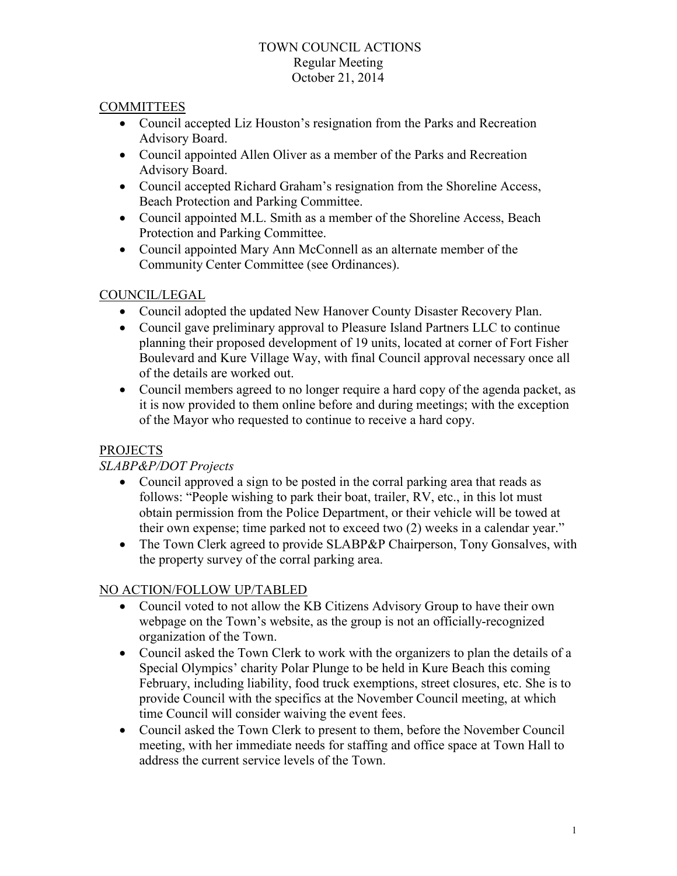#### TOWN COUNCIL ACTIONS Regular Meeting October 21, 2014

### **COMMITTEES**

- Council accepted Liz Houston's resignation from the Parks and Recreation Advisory Board.
- Council appointed Allen Oliver as a member of the Parks and Recreation Advisory Board.
- Council accepted Richard Graham's resignation from the Shoreline Access, Beach Protection and Parking Committee.
- Council appointed M.L. Smith as a member of the Shoreline Access, Beach Protection and Parking Committee.
- Council appointed Mary Ann McConnell as an alternate member of the Community Center Committee (see Ordinances).

# COUNCIL/LEGAL

- Council adopted the updated New Hanover County Disaster Recovery Plan.
- Council gave preliminary approval to Pleasure Island Partners LLC to continue planning their proposed development of 19 units, located at corner of Fort Fisher Boulevard and Kure Village Way, with final Council approval necessary once all of the details are worked out.
- Council members agreed to no longer require a hard copy of the agenda packet, as it is now provided to them online before and during meetings; with the exception of the Mayor who requested to continue to receive a hard copy.

# PROJECTS

# *SLABP&P/DOT Projects*

- Council approved a sign to be posted in the corral parking area that reads as follows: "People wishing to park their boat, trailer, RV, etc., in this lot must obtain permission from the Police Department, or their vehicle will be towed at their own expense; time parked not to exceed two (2) weeks in a calendar year."
- The Town Clerk agreed to provide SLABP&P Chairperson, Tony Gonsalves, with the property survey of the corral parking area.

# NO ACTION/FOLLOW UP/TABLED

- Council voted to not allow the KB Citizens Advisory Group to have their own webpage on the Town's website, as the group is not an officially-recognized organization of the Town.
- Council asked the Town Clerk to work with the organizers to plan the details of a Special Olympics' charity Polar Plunge to be held in Kure Beach this coming February, including liability, food truck exemptions, street closures, etc. She is to provide Council with the specifics at the November Council meeting, at which time Council will consider waiving the event fees.
- Council asked the Town Clerk to present to them, before the November Council meeting, with her immediate needs for staffing and office space at Town Hall to address the current service levels of the Town.